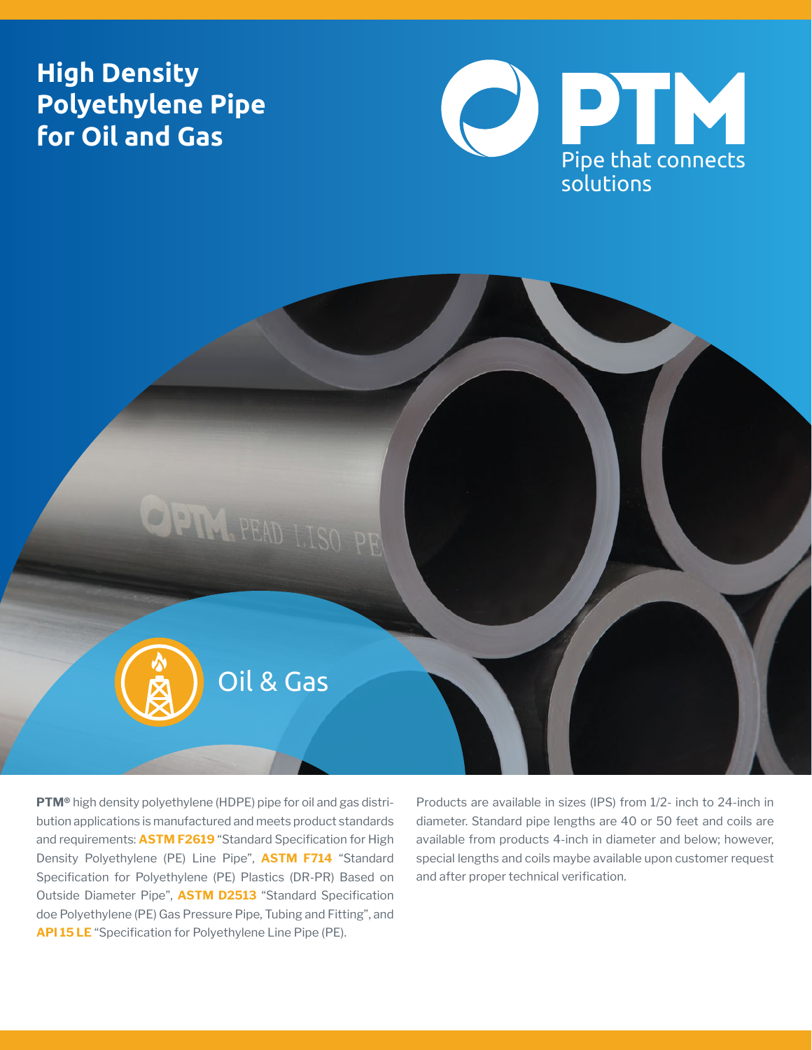# **High Density Polyethylene Pipe for Oil and Gas**





**PTM®** high density polyethylene (HDPE) pipe for oil and gas distribution applications is manufactured and meets product standards and requirements: **ASTM F2619** "Standard Specification for High Density Polyethylene (PE) Line Pipe", **ASTM F714** "Standard Specification for Polyethylene (PE) Plastics (DR-PR) Based on Outside Diameter Pipe", **ASTM D2513** "Standard Specification doe Polyethylene (PE) Gas Pressure Pipe, Tubing and Fitting", and **API 15 LE** "Specification for Polyethylene Line Pipe (PE).

Products are available in sizes (IPS) from 1/2- inch to 24-inch in diameter. Standard pipe lengths are 40 or 50 feet and coils are available from products 4-inch in diameter and below; however, special lengths and coils maybe available upon customer request and after proper technical verification.